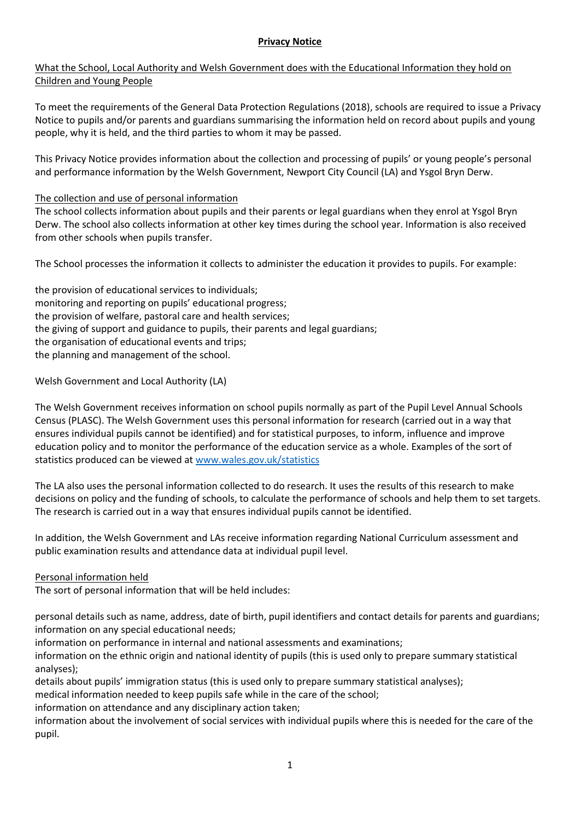### **Privacy Notice**

# What the School, Local Authority and Welsh Government does with the Educational Information they hold on Children and Young People

To meet the requirements of the General Data Protection Regulations (2018), schools are required to issue a Privacy Notice to pupils and/or parents and guardians summarising the information held on record about pupils and young people, why it is held, and the third parties to whom it may be passed.

This Privacy Notice provides information about the collection and processing of pupils' or young people's personal and performance information by the Welsh Government, Newport City Council (LA) and Ysgol Bryn Derw.

### The collection and use of personal information

The school collects information about pupils and their parents or legal guardians when they enrol at Ysgol Bryn Derw. The school also collects information at other key times during the school year. Information is also received from other schools when pupils transfer.

The School processes the information it collects to administer the education it provides to pupils. For example:

the provision of educational services to individuals; monitoring and reporting on pupils' educational progress; the provision of welfare, pastoral care and health services; the giving of support and guidance to pupils, their parents and legal guardians; the organisation of educational events and trips; the planning and management of the school.

Welsh Government and Local Authority (LA)

The Welsh Government receives information on school pupils normally as part of the Pupil Level Annual Schools Census (PLASC). The Welsh Government uses this personal information for research (carried out in a way that ensures individual pupils cannot be identified) and for statistical purposes, to inform, influence and improve education policy and to monitor the performance of the education service as a whole. Examples of the sort of statistics produced can be viewed a[t www.wales.gov.uk/statistics](http://www.wales.gov.uk/statistics)

The LA also uses the personal information collected to do research. It uses the results of this research to make decisions on policy and the funding of schools, to calculate the performance of schools and help them to set targets. The research is carried out in a way that ensures individual pupils cannot be identified.

In addition, the Welsh Government and LAs receive information regarding National Curriculum assessment and public examination results and attendance data at individual pupil level.

#### Personal information held

The sort of personal information that will be held includes:

personal details such as name, address, date of birth, pupil identifiers and contact details for parents and guardians; information on any special educational needs;

information on performance in internal and national assessments and examinations;

information on the ethnic origin and national identity of pupils (this is used only to prepare summary statistical analyses);

details about pupils' immigration status (this is used only to prepare summary statistical analyses);

medical information needed to keep pupils safe while in the care of the school;

information on attendance and any disciplinary action taken;

information about the involvement of social services with individual pupils where this is needed for the care of the pupil.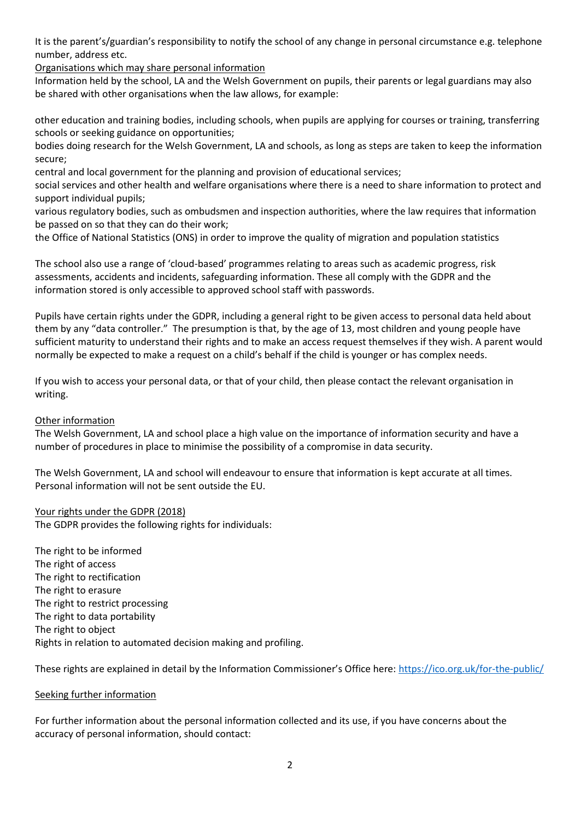It is the parent's/guardian's responsibility to notify the school of any change in personal circumstance e.g. telephone number, address etc.

Organisations which may share personal information

Information held by the school, LA and the Welsh Government on pupils, their parents or legal guardians may also be shared with other organisations when the law allows, for example:

other education and training bodies, including schools, when pupils are applying for courses or training, transferring schools or seeking guidance on opportunities;

bodies doing research for the Welsh Government, LA and schools, as long as steps are taken to keep the information secure;

central and local government for the planning and provision of educational services;

social services and other health and welfare organisations where there is a need to share information to protect and support individual pupils;

various regulatory bodies, such as ombudsmen and inspection authorities, where the law requires that information be passed on so that they can do their work;

the Office of National Statistics (ONS) in order to improve the quality of migration and population statistics

The school also use a range of 'cloud-based' programmes relating to areas such as academic progress, risk assessments, accidents and incidents, safeguarding information. These all comply with the GDPR and the information stored is only accessible to approved school staff with passwords.

Pupils have certain rights under the GDPR, including a general right to be given access to personal data held about them by any "data controller." The presumption is that, by the age of 13, most children and young people have sufficient maturity to understand their rights and to make an access request themselves if they wish. A parent would normally be expected to make a request on a child's behalf if the child is younger or has complex needs.

If you wish to access your personal data, or that of your child, then please contact the relevant organisation in writing.

# Other information

The Welsh Government, LA and school place a high value on the importance of information security and have a number of procedures in place to minimise the possibility of a compromise in data security.

The Welsh Government, LA and school will endeavour to ensure that information is kept accurate at all times. Personal information will not be sent outside the EU.

Your rights under the GDPR (2018) The GDPR provides the following rights for individuals:

The right to be informed The right of access The right to rectification The right to erasure The right to restrict processing The right to data portability The right to object Rights in relation to automated decision making and profiling.

These rights are explained in detail by the Information Commissioner's Office here: <https://ico.org.uk/for-the-public/>

# Seeking further information

For further information about the personal information collected and its use, if you have concerns about the accuracy of personal information, should contact: